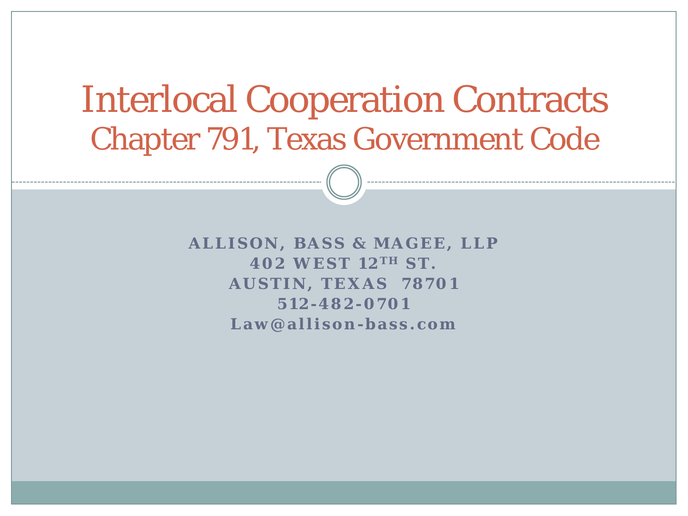## Interlocal Cooperation Contracts Chapter 791, Texas Government Code

**ALLISON, BASS & MAGEE, LLP 402 WEST 12 T H ST. AUSTIN, TEXAS 78701 512-482- 0701 Law@allison-bass.com**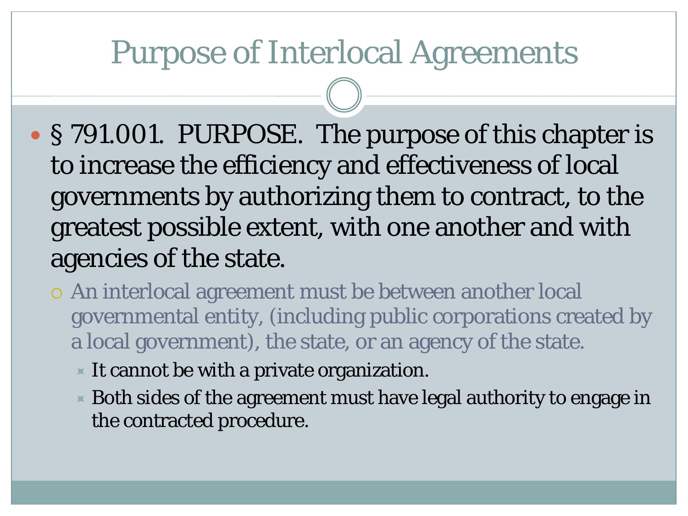### Purpose of Interlocal Agreements

- § 791.001. PURPOSE. The purpose of this chapter is to increase the efficiency and effectiveness of local governments by authorizing them to contract, to the greatest possible extent, with one another and with agencies of the state.
	- An interlocal agreement must be between another local governmental entity, (including public corporations created by a local government), the state, or an agency of the state.
		- $\blacktriangleright$  It cannot be with a private organization.
		- $\times$  Both sides of the agreement must have legal authority to engage in the contracted procedure.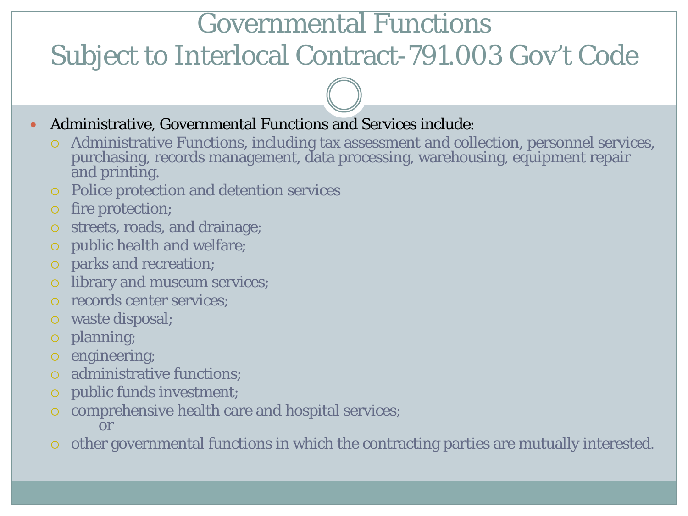### Governmental Functions

### Subject to Interlocal Contract-791.003 Gov't Code

- Administrative, Governmental Functions and Services include:
	- Administrative Functions, including tax assessment and collection, personnel services, purchasing, records management, data processing, warehousing, equipment repair and printing.
	- Police protection and detention services
	- o fire protection;
	- streets, roads, and drainage;
	- public health and welfare;
	- parks and recreation;
	- library and museum services;
	- records center services;
	- waste disposal;
	- planning;
	- o engineering;
	- administrative functions;
	- public funds investment;
	- comprehensive health care and hospital services; or
	- other governmental functions in which the contracting parties are mutually interested.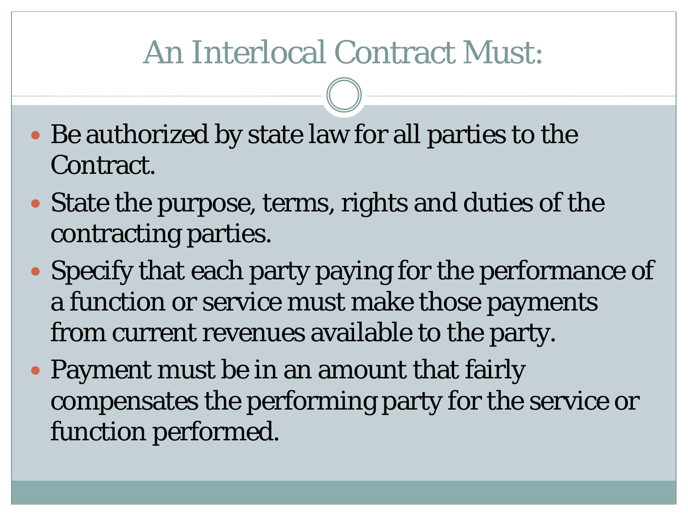## An Interlocal Contract Must:

- Be authorized by state law for all parties to the Contract.
- State the purpose, terms, rights and duties of the contracting parties.
- Specify that each party paying for the performance of a function or service must make those payments from current revenues available to the party.
- Payment must be in an amount that fairly compensates the performing party for the service or function performed.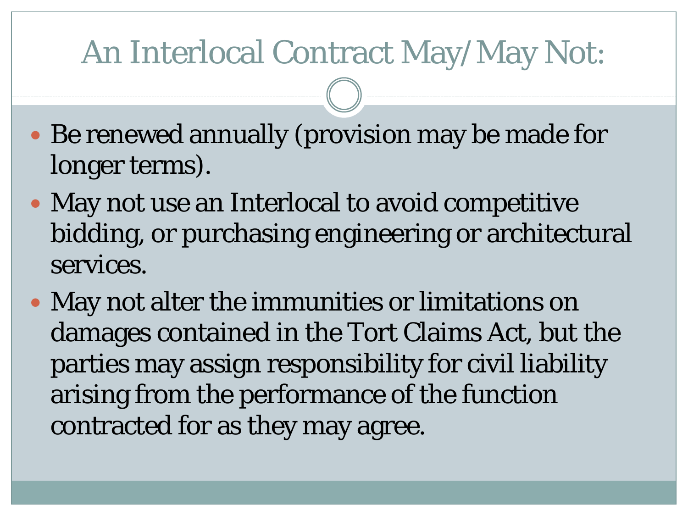## An Interlocal Contract May/May Not:

- Be renewed annually (provision may be made for longer terms).
- May not use an Interlocal to avoid competitive bidding, or purchasing engineering or architectural services.
- May not alter the immunities or limitations on damages contained in the Tort Claims Act, but the parties may assign responsibility for civil liability arising from the performance of the function contracted for as they may agree.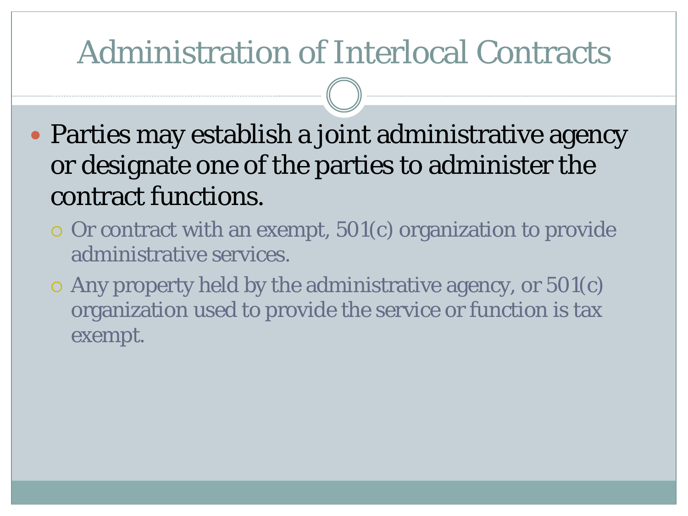## Administration of Interlocal Contracts

- Parties may establish a joint administrative agency or designate one of the parties to administer the contract functions.
	- $\circ$  Or contract with an exempt,  $501(c)$  organization to provide administrative services.
	- $\circ$  Any property held by the administrative agency, or 501 $(c)$ organization used to provide the service or function is tax exempt.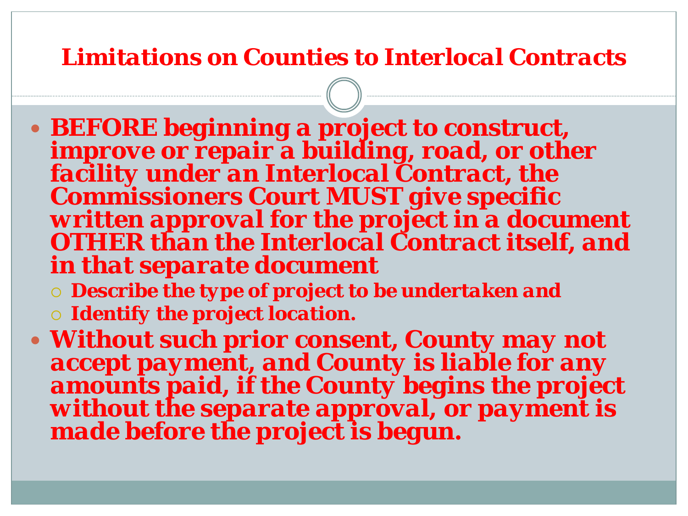#### *Limitations on Counties to Interlocal Contracts*

- *BEFORE beginning a project to construct, improve or repair a building, road, or other facility under an Interlocal Contract, the Commissioners Court MUST give specific written approval for the project in a document OTHER than the Interlocal Contract itself, and in that separate document*
	- *Describe the type of project to be undertaken and*
	- *Identify the project location.*
- *Without such prior consent, County may not accept payment, and County is liable for any amounts paid, if the County begins the project without the separate approval, or payment is made before the project is begun.*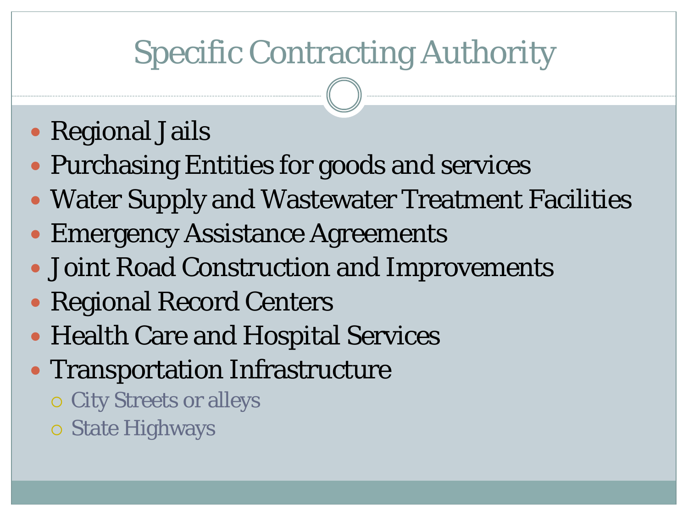# Specific Contracting Authority

### • Regional Jails

- Purchasing Entities for goods and services
- Water Supply and Wastewater Treatment Facilities
- Emergency Assistance Agreements
- Joint Road Construction and Improvements
- Regional Record Centers
- Health Care and Hospital Services
- Transportation Infrastructure
	- City Streets or alleys
	- State Highways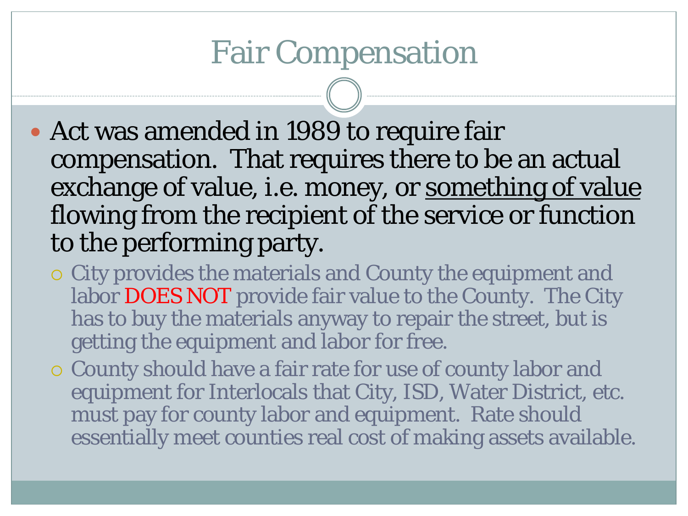### Fair Compensation

- Act was amended in 1989 to require fair compensation. That requires there to be an actual exchange of value, i.e. money, or something of value flowing from the recipient of the service or function to the performing party.
	- City provides the materials and County the equipment and labor DOES NOT provide fair value to the County. The City has to buy the materials anyway to repair the street, but is getting the equipment and labor for free.
	- County should have a fair rate for use of county labor and equipment for Interlocals that City, ISD, Water District, etc. must pay for county labor and equipment. Rate should essentially meet counties real cost of making assets available.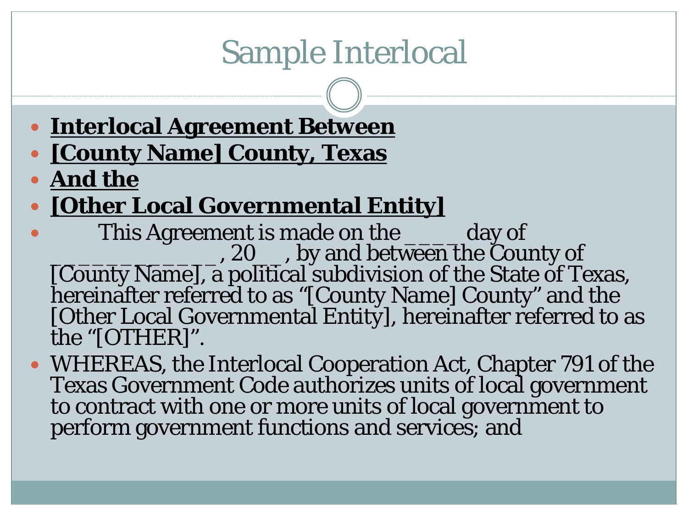- **Interlocal Agreement Between [County Name] County, Texas**
- **And the**
- **[Other Local Governmental Entity]**
- This Agreement is made on the \_\_\_\_\_ day of<br>20\_\_\_, by and between the County of [County Name], a political subdivision of the State of Texas, hereinafter referred to as "[County Name] County" and the [Other Local Governmental Entity], hereinafter referred to as the "[OTHER]".
- WHEREAS, the Interlocal Cooperation Act, Chapter 791 of the Texas Government Code authorizes units of local government to contract with one or more units of local government to perform government functions and services; and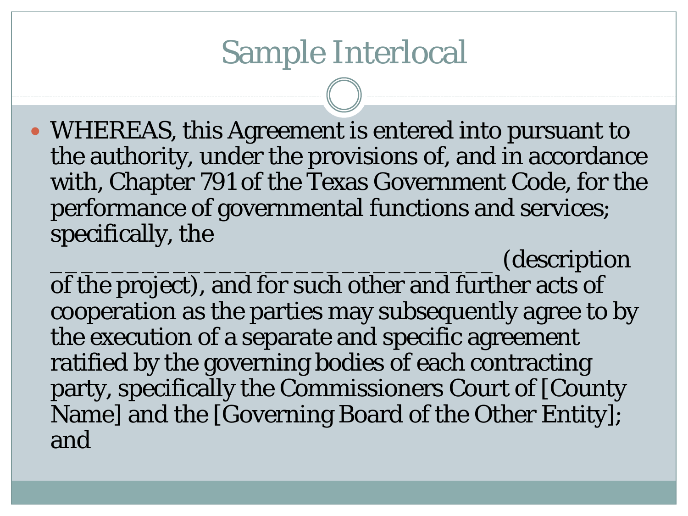WHEREAS, this Agreement is entered into pursuant to the authority, under the provisions of, and in accordance with, Chapter 791 of the Texas Government Code, for the performance of governmental functions and services; specifically, the

\_\_\_\_\_\_\_\_\_\_\_\_\_\_\_\_\_\_\_\_\_\_\_\_\_\_\_\_\_ (description of the project), and for such other and further acts of cooperation as the parties may subsequently agree to by the execution of a separate and specific agreement ratified by the governing bodies of each contracting party, specifically the Commissioners Court of [County Name] and the [Governing Board of the Other Entity]; and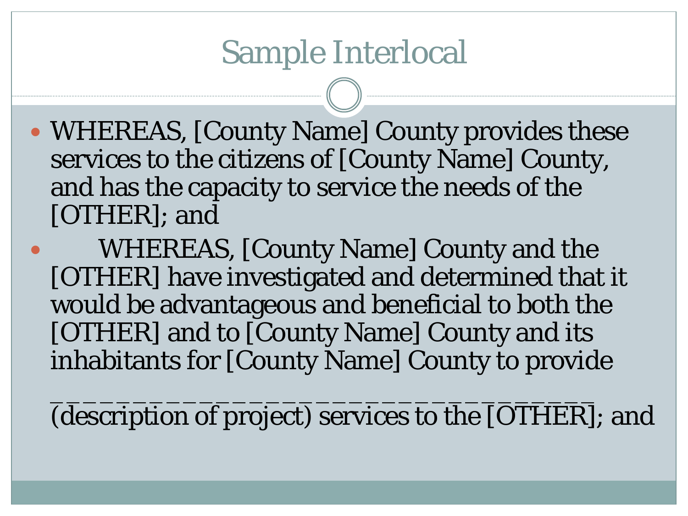- WHEREAS, [County Name] County provides these services to the citizens of [County Name] County, and has the capacity to service the needs of the [OTHER]; and
- WHEREAS, [County Name] County and the [OTHER] have investigated and determined that it would be advantageous and beneficial to both the [OTHER] and to [County Name] County and its inhabitants for [County Name] County to provide

\_\_\_\_\_\_\_\_\_\_\_\_\_\_\_\_\_\_\_\_\_\_\_\_\_\_\_\_\_\_\_\_\_ (description of project) services to the [OTHER]; and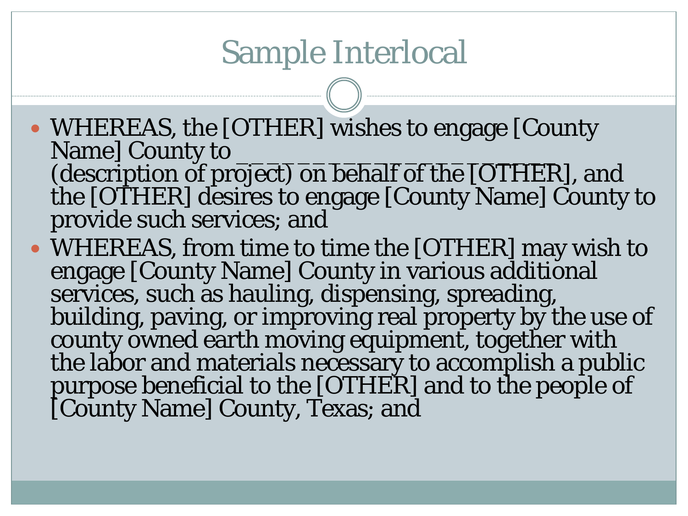- WHEREAS, the [OTHER] wishes to engage [County] Name] County to (description of project) on behalf of the [OTHER], and the [OTHER] desires to engage [County Name] County to provide such services; and
- WHEREAS, from time to time the [OTHER] may wish to engage [County Name] County in various additional services, such as hauling, dispensing, spreading, building, paving, or improving real property by the use of county owned earth moving equipment, together with the labor and materials necessary to accomplish a public purpose beneficial to the [OTHER] and to the people of [County Name] County, Texas; and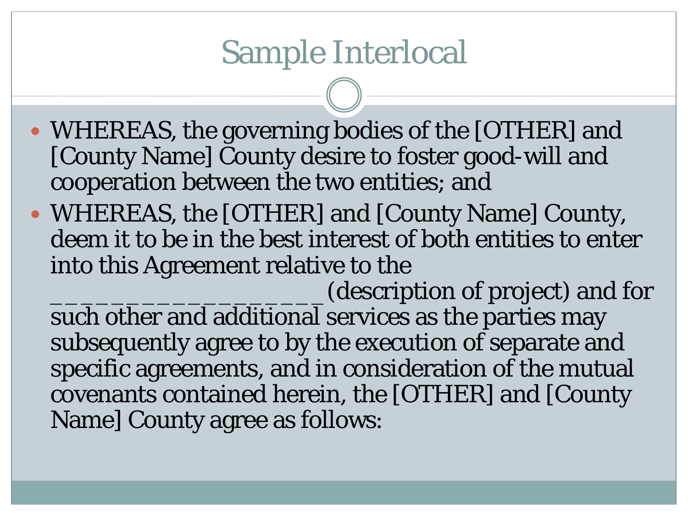- WHEREAS, the governing bodies of the [OTHER] and [County Name] County desire to foster good-will and cooperation between the two entities; and
- WHEREAS, the [OTHER] and [County Name] County, deem it to be in the best interest of both entities to enter into this Agreement relative to the

\_\_\_\_\_\_\_\_\_\_\_\_\_\_\_\_\_\_(description of project) and for such other and additional services as the parties may subsequently agree to by the execution of separate and specific agreements, and in consideration of the mutual covenants contained herein, the [OTHER] and [County Name] County agree as follows: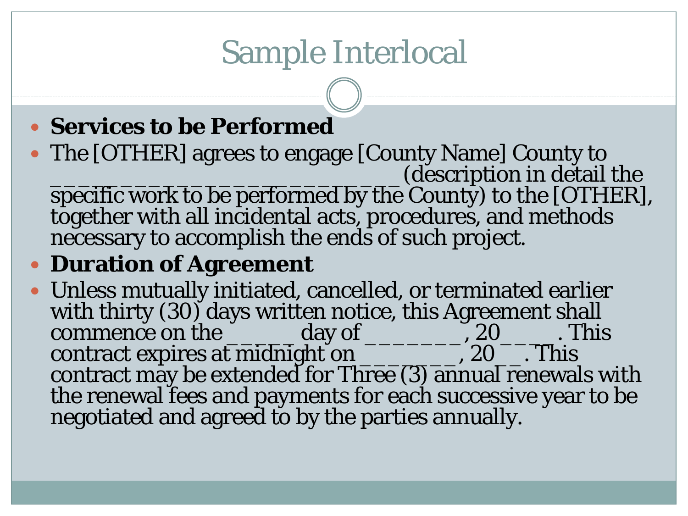#### **Services to be Performed**

- The [OTHER] agrees to engage [County Name] County to Let us the contract of the contract of the contract of the contract of the contract of the contract of the contract of the contract of the contract of the contract of the contract of the contract of the contract of the con specific work to be performed by the County) to the [OTHER],  $\,$ together with all incidental acts, procedures, and methods
	- necessary to accomplish the ends of such project.

#### **Duration of Agreement**

 Unless mutually initiated, cancelled, or terminated earlier with thirty (30) days written notice, this Agreement shall commence on the \_\_\_\_\_\_day of \_\_\_\_\_\_\_\_\_\_\_, 20\_\_\_\_\_. This contract expires at midnight on \_\_\_\_\_\_\_\_\_\_, 20\_\_\_. This contract may be extended for Three (3) annual renewals with the renewal fees and payments for each successive year to be negotiated and agreed to by the parties annually.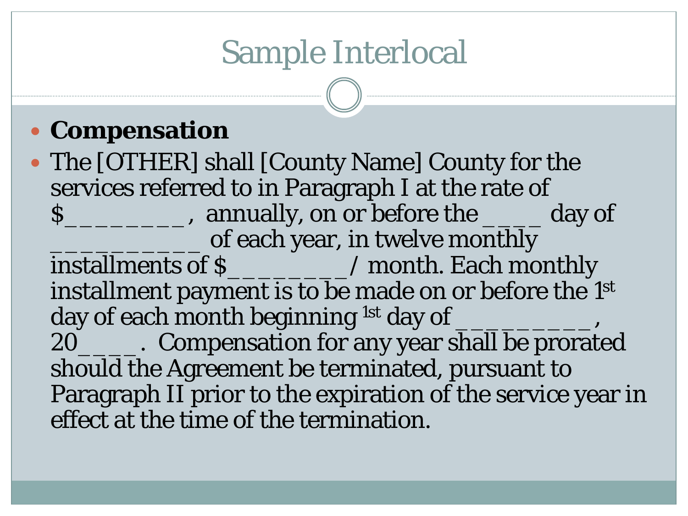### **Compensation**

 The [OTHER] shall [County Name] County for the services referred to in Paragraph I at the rate of \$\_\_\_\_\_\_\_\_, annually, on or before the \_\_\_\_ day of of each year, in twelve monthly installments of \$\_\_\_\_\_\_\_\_/ month. Each monthly installment payment is to be made on or before the 1st day of each month beginning <sup>1st</sup> day of 20\_\_\_\_\_\_. Compensation for any year shall be prorated should the Agreement be terminated, pursuant to Paragraph II prior to the expiration of the service year in effect at the time of the termination.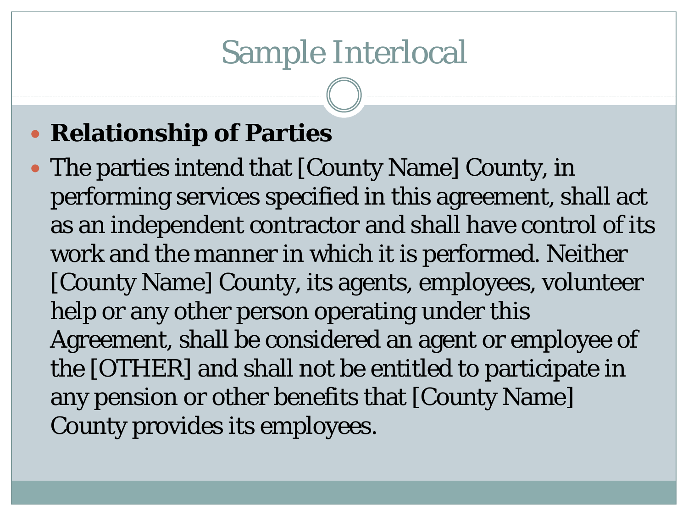### **• Relationship of Parties**

• The parties intend that [County Name] County, in performing services specified in this agreement, shall act as an independent contractor and shall have control of its work and the manner in which it is performed. Neither [County Name] County, its agents, employees, volunteer help or any other person operating under this Agreement, shall be considered an agent or employee of the [OTHER] and shall not be entitled to participate in any pension or other benefits that [County Name] County provides its employees.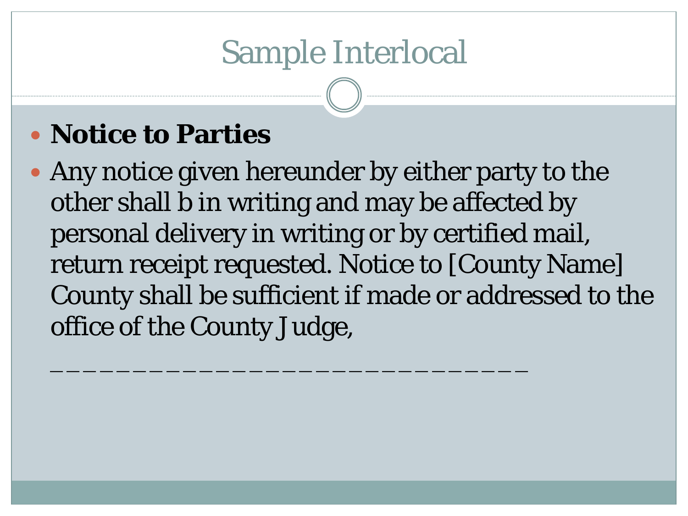### **Notice to Parties**

• Any notice given hereunder by either party to the other shall b in writing and may be affected by personal delivery in writing or by certified mail, return receipt requested. Notice to [County Name] County shall be sufficient if made or addressed to the office of the County Judge,

\_\_\_\_\_\_\_\_\_\_\_\_\_\_\_\_\_\_\_\_\_\_\_\_\_\_\_\_\_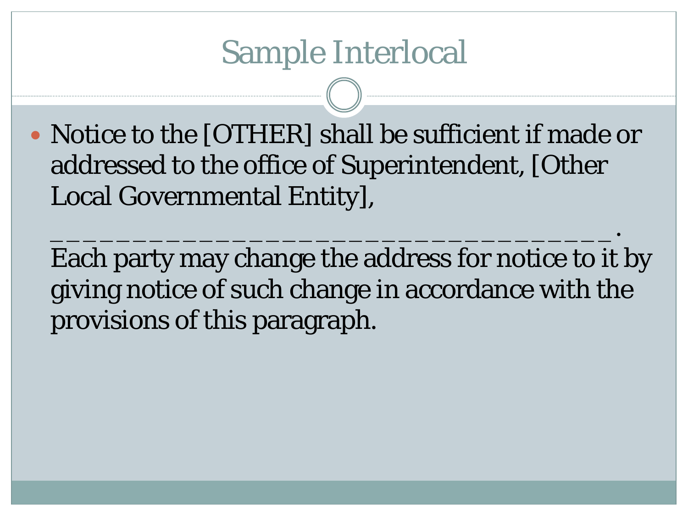• Notice to the [OTHER] shall be sufficient if made or addressed to the office of Superintendent, [Other Local Governmental Entity],

\_\_\_\_\_\_\_\_\_\_\_\_\_\_\_\_\_\_\_\_\_\_\_\_\_\_\_\_\_\_\_\_\_\_.

Each party may change the address for notice to it by giving notice of such change in accordance with the provisions of this paragraph.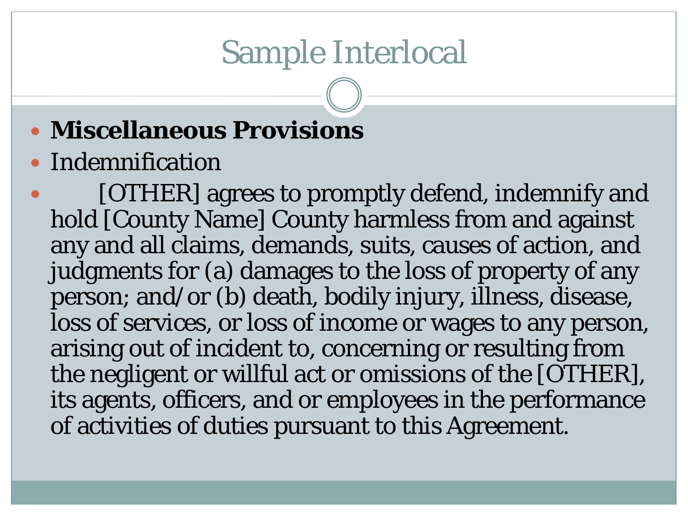### **Miscellaneous Provisions**

#### Indemnification

 [OTHER] agrees to promptly defend, indemnify and hold [County Name] County harmless from and against any and all claims, demands, suits, causes of action, and judgments for (a) damages to the loss of property of any person; and/or (b) death, bodily injury, illness, disease, loss of services, or loss of income or wages to any person, arising out of incident to, concerning or resulting from the negligent or willful act or omissions of the [OTHER], its agents, officers, and or employees in the performance of activities of duties pursuant to this Agreement.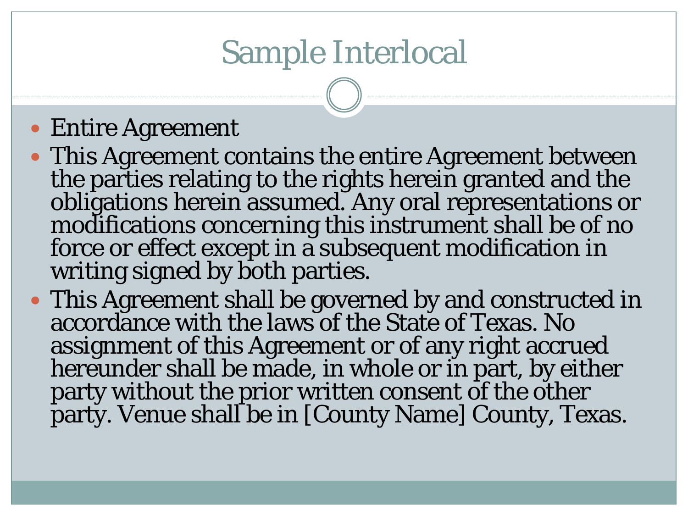#### Entire Agreement

- This Agreement contains the entire Agreement between the parties relating to the rights herein granted and the obligations herein assumed. Any oral representations or modifications concerning this instrument shall be of no force or effect except in a subsequent modification in writing signed by both parties.
- This Agreement shall be governed by and constructed in accordance with the laws of the State of Texas. No assignment of this Agreement or of any right accrued hereunder shall be made, in whole or in part, by either party without the prior written consent of the other party. Venue shall be in [County Name] County, Texas.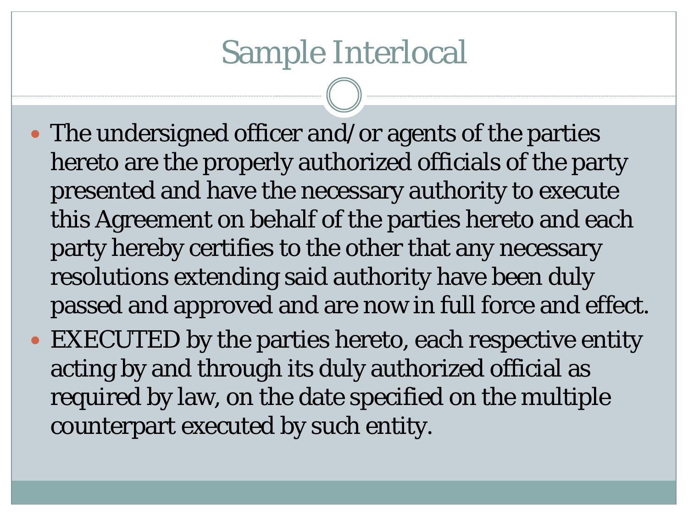- The undersigned officer and/or agents of the parties hereto are the properly authorized officials of the party presented and have the necessary authority to execute this Agreement on behalf of the parties hereto and each party hereby certifies to the other that any necessary resolutions extending said authority have been duly passed and approved and are now in full force and effect.
- EXECUTED by the parties hereto, each respective entity acting by and through its duly authorized official as required by law, on the date specified on the multiple counterpart executed by such entity.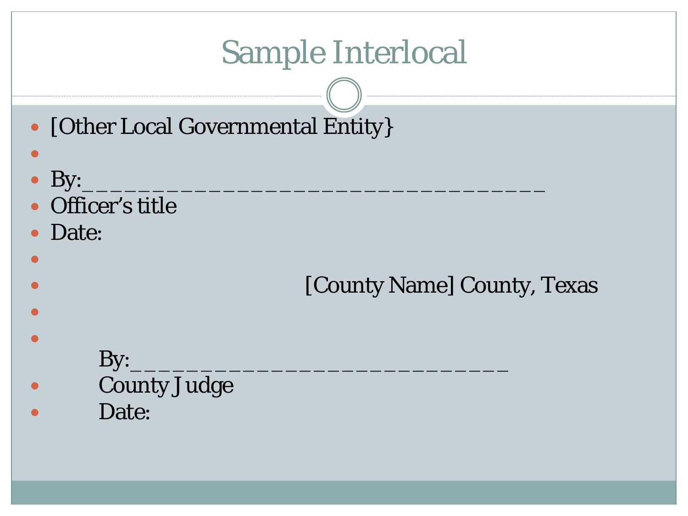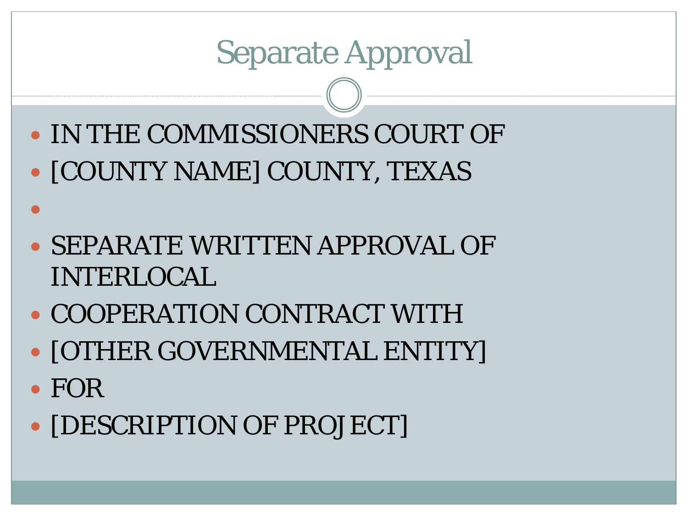Separate Approval

- IN THE COMMISSIONERS COURT OF • [COUNTY NAME] COUNTY, TEXAS
- SEPARATE WRITTEN APPROVAL OF INTERLOCAL
- COOPERATION CONTRACT WITH
- [OTHER GOVERNMENTAL ENTITY]
- FOR

 $\bullet$ 

• **[DESCRIPTION OF PROJECT]**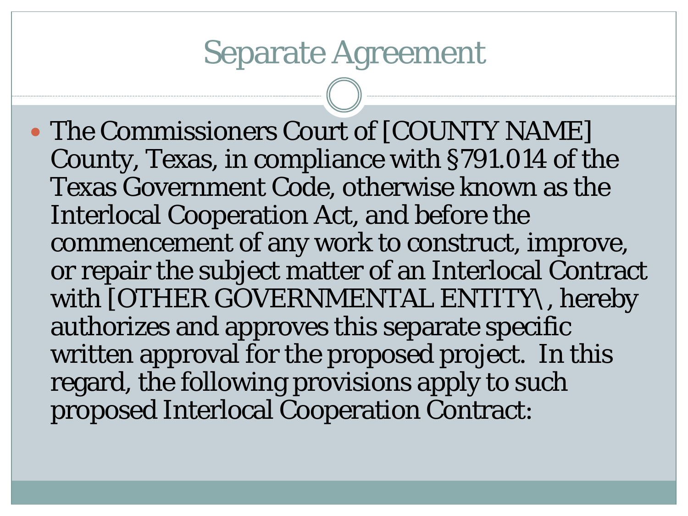### Separate Agreement

 The Commissioners Court of [COUNTY NAME] County, Texas, in compliance with §791.014 of the Texas Government Code, otherwise known as the Interlocal Cooperation Act, and before the commencement of any work to construct, improve, or repair the subject matter of an Interlocal Contract with [OTHER GOVERNMENTAL ENTITY\, hereby authorizes and approves this separate specific written approval for the proposed project. In this regard, the following provisions apply to such proposed Interlocal Cooperation Contract: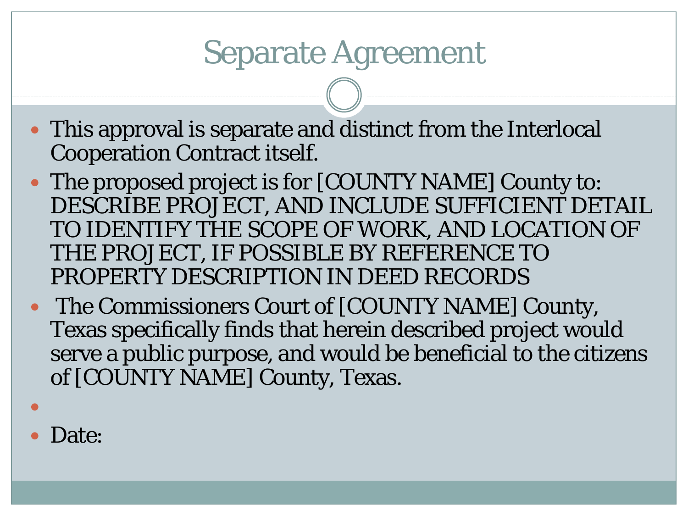### Separate Agreement

- This approval is separate and distinct from the Interlocal Cooperation Contract itself.
- The proposed project is for [COUNTY NAME] County to: DESCRIBE PROJECT, AND INCLUDE SUFFICIENT DETAIL TO IDENTIFY THE SCOPE OF WORK, AND LOCATION OF THE PROJECT, IF POSSIBLE BY REFERENCE TO PROPERTY DESCRIPTION IN DEED RECORDS
- The Commissioners Court of [COUNTY NAME] County, Texas specifically finds that herein described project would serve a public purpose, and would be beneficial to the citizens of [COUNTY NAME] County, Texas.
- Date:

 $\bullet$